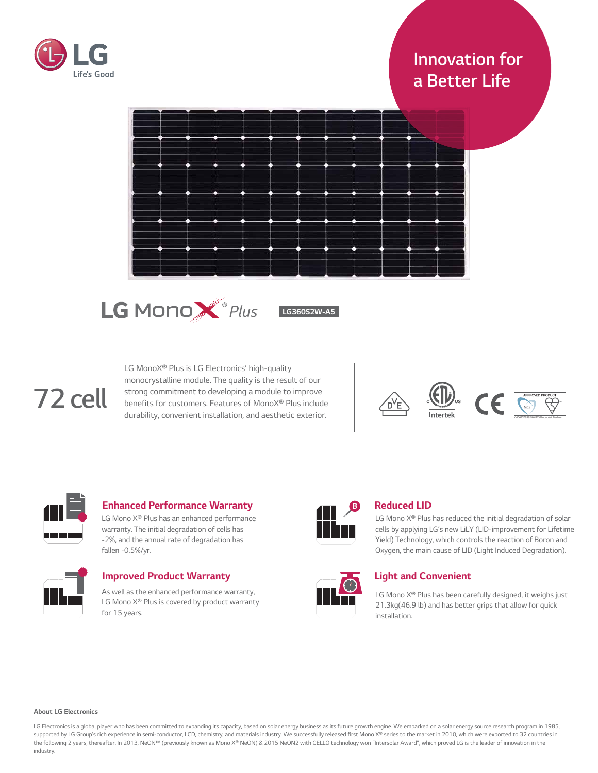

# *Innovation for a Better Life*





*LG360S2W-A5*

# *72 cell*

*LG MonoX® Plus is LG Electronics' high-quality monocrystalline module. The quality is the result of our strong commitment to developing a module to improve*  benefits for customers. Features of MonoX® Plus include *durability, convenient installation, and aesthetic exterior.*





# *Enhanced Performance Warranty*

*LG Mono X® Plus has an enhanced performance warranty. The initial degradation of cells has -2%, and the annual rate of degradation has fallen -0.5%/yr.*



*Improved Product Warranty As well as the enhanced performance warranty, LG Mono X® Plus is covered by product warranty*

*for 1*5 *years.*



# *Reduced LID*

*LG Mono X® Plus has reduced the initial degradation of solar cells by applying LG's new LiLY (LID-improvement for Lifetime Yield) Technology, which controls the reaction of Boron and Oxygen, the main cause of LID (Light Induced Degradation).*



# *Light and Convenient*

*LG Mono X® Plus has been carefully designed, it weighs just 21.3kg(46.9 lb) and has better grips that allow for quick installation.*

#### *About LG Electronics*

LG Electronics is a global player who has been committed to expanding its capacity, based on solar energy business as its future growth engine. We embarked on a solar energy source research program in 1985, *supported by LG Group's rich experience in semi-conductor, LCD,* chemistry, and materials industry. We successfully released fir*st Mono X® series to the market in 2010, which were exported to 32 countries in*  the following 2 years, thereafter. In 2013, NeON™ (previously known as Mono X® NeON) & 2015 NeON2 with CELLO technology won "Intersolar Award", which proved LG is the leader of innovation in the *industry.*